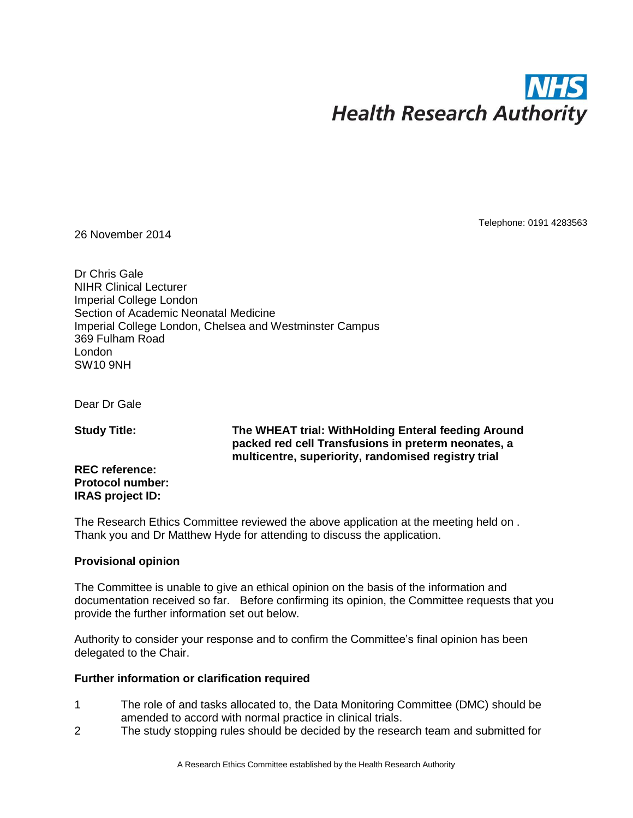

26 November 2014

Telephone: 0191 4283563

Dr Chris Gale NIHR Clinical Lecturer Imperial College London Section of Academic Neonatal Medicine Imperial College London, Chelsea and Westminster Campus 369 Fulham Road London SW10 9NH

Dear Dr Gale

**Study Title:**

**The WHEAT trial: WithHolding Enteral feeding Around packed red cell Transfusions in preterm neonates, a multicentre, superiority, randomised registry trial** 

**REC reference: Protocol number: IRAS project ID:**

The Research Ethics Committee reviewed the above application at the meeting held on . Thank you and Dr Matthew Hyde for attending to discuss the application.

### **Provisional opinion**

The Committee is unable to give an ethical opinion on the basis of the information and documentation received so far. Before confirming its opinion, the Committee requests that you provide the further information set out below.

Authority to consider your response and to confirm the Committee's final opinion has been delegated to the Chair.

### **Further information or clarification required**

- 1 The role of and tasks allocated to, the Data Monitoring Committee (DMC) should be amended to accord with normal practice in clinical trials.
- 2 The study stopping rules should be decided by the research team and submitted for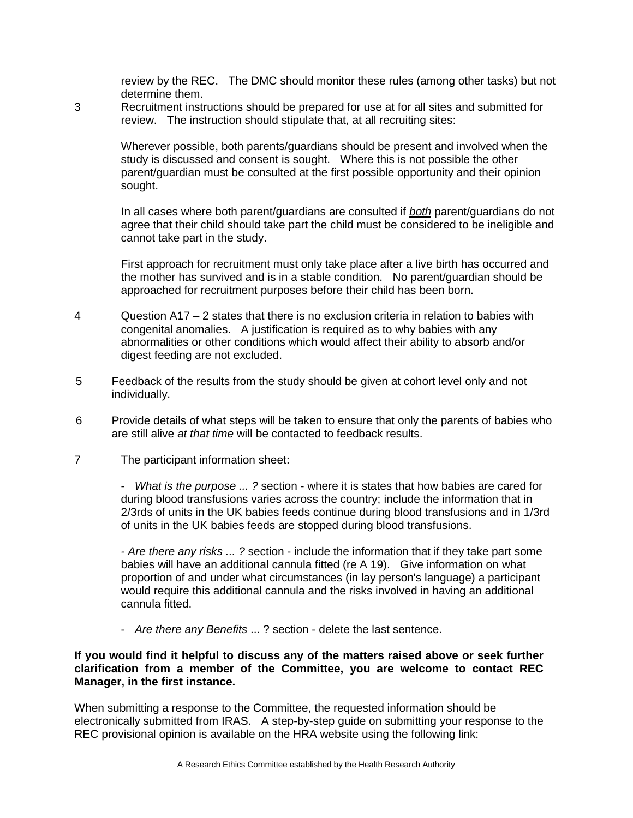review by the REC. The DMC should monitor these rules (among other tasks) but not determine them.

3 Recruitment instructions should be prepared for use at for all sites and submitted for review. The instruction should stipulate that, at all recruiting sites:

> Wherever possible, both parents/guardians should be present and involved when the study is discussed and consent is sought. Where this is not possible the other parent/guardian must be consulted at the first possible opportunity and their opinion sought.

In all cases where both parent/guardians are consulted if *both* parent/guardians do not agree that their child should take part the child must be considered to be ineligible and cannot take part in the study.

First approach for recruitment must only take place after a live birth has occurred and the mother has survived and is in a stable condition. No parent/guardian should be approached for recruitment purposes before their child has been born.

- 4 Question A17 2 states that there is no exclusion criteria in relation to babies with congenital anomalies. A justification is required as to why babies with any abnormalities or other conditions which would affect their ability to absorb and/or digest feeding are not excluded.
- 5 Feedback of the results from the study should be given at cohort level only and not individually.
- 6 Provide details of what steps will be taken to ensure that only the parents of babies who are still alive *at that time* will be contacted to feedback results.
- 7 The participant information sheet:

- *What is the purpose ... ?* section - where it is states that how babies are cared for during blood transfusions varies across the country; include the information that in 2/3rds of units in the UK babies feeds continue during blood transfusions and in 1/3rd of units in the UK babies feeds are stopped during blood transfusions.

*- Are there any risks ... ?* section - include the information that if they take part some babies will have an additional cannula fitted (re A 19). Give information on what proportion of and under what circumstances (in lay person's language) a participant would require this additional cannula and the risks involved in having an additional cannula fitted.

- *Are there any Benefits* ... ? section - delete the last sentence.

### **If you would find it helpful to discuss any of the matters raised above or seek further clarification from a member of the Committee, you are welcome to contact REC Manager, in the first instance.**

When submitting a response to the Committee, the requested information should be electronically submitted from IRAS. A step-by-step guide on submitting your response to the REC provisional opinion is available on the HRA website using the following link: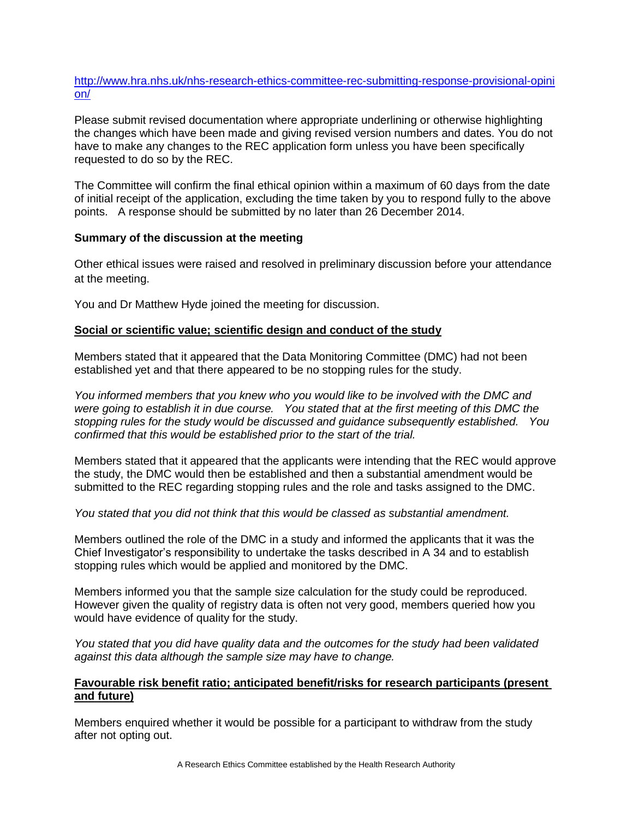### [http://www.hra.nhs.uk/nhs-research-ethics-committee-rec-submitting-response-provisional-opini](http://www.hra.nhs.uk/nhs-research-ethics-committee-rec-submitting-response-provisional-opinion/) [on/](http://www.hra.nhs.uk/nhs-research-ethics-committee-rec-submitting-response-provisional-opinion/)

Please submit revised documentation where appropriate underlining or otherwise highlighting the changes which have been made and giving revised version numbers and dates. You do not have to make any changes to the REC application form unless you have been specifically requested to do so by the REC.

The Committee will confirm the final ethical opinion within a maximum of 60 days from the date of initial receipt of the application, excluding the time taken by you to respond fully to the above points. A response should be submitted by no later than 26 December 2014.

### **Summary of the discussion at the meeting**

Other ethical issues were raised and resolved in preliminary discussion before your attendance at the meeting.

You and Dr Matthew Hyde joined the meeting for discussion.

### **Social or scientific value; scientific design and conduct of the study**

Members stated that it appeared that the Data Monitoring Committee (DMC) had not been established yet and that there appeared to be no stopping rules for the study.

*You informed members that you knew who you would like to be involved with the DMC and were going to establish it in due course. You stated that at the first meeting of this DMC the stopping rules for the study would be discussed and guidance subsequently established. You confirmed that this would be established prior to the start of the trial.* 

Members stated that it appeared that the applicants were intending that the REC would approve the study, the DMC would then be established and then a substantial amendment would be submitted to the REC regarding stopping rules and the role and tasks assigned to the DMC.

*You stated that you did not think that this would be classed as substantial amendment.* 

Members outlined the role of the DMC in a study and informed the applicants that it was the Chief Investigator's responsibility to undertake the tasks described in A 34 and to establish stopping rules which would be applied and monitored by the DMC.

Members informed you that the sample size calculation for the study could be reproduced. However given the quality of registry data is often not very good, members queried how you would have evidence of quality for the study.

*You stated that you did have quality data and the outcomes for the study had been validated against this data although the sample size may have to change.*

### **Favourable risk benefit ratio; anticipated benefit/risks for research participants (present and future)**

Members enquired whether it would be possible for a participant to withdraw from the study after not opting out.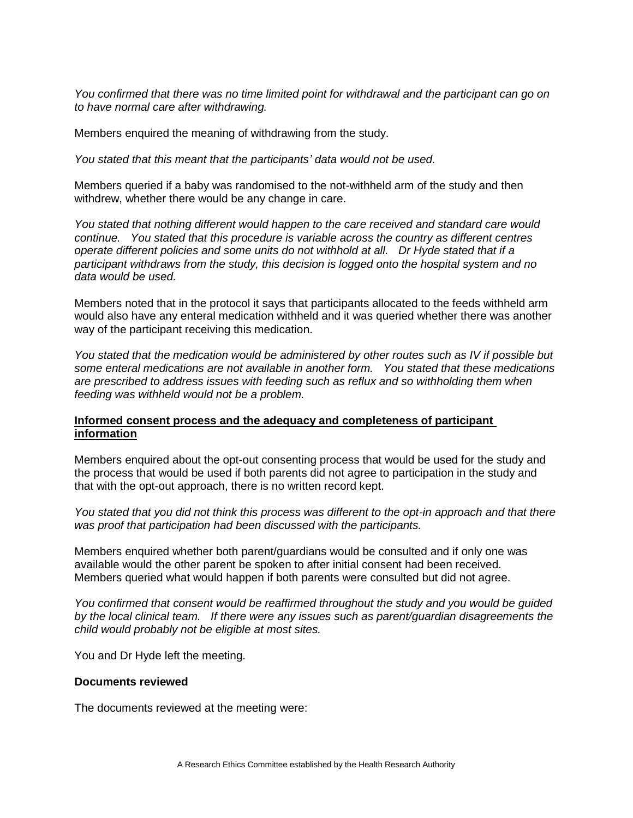*You confirmed that there was no time limited point for withdrawal and the participant can go on to have normal care after withdrawing.* 

Members enquired the meaning of withdrawing from the study.

*You stated that this meant that the participants' data would not be used.*

Members queried if a baby was randomised to the not-withheld arm of the study and then withdrew, whether there would be any change in care.

*You stated that nothing different would happen to the care received and standard care would continue. You stated that this procedure is variable across the country as different centres operate different policies and some units do not withhold at all. Dr Hyde stated that if a participant withdraws from the study, this decision is logged onto the hospital system and no data would be used.* 

Members noted that in the protocol it says that participants allocated to the feeds withheld arm would also have any enteral medication withheld and it was queried whether there was another way of the participant receiving this medication.

*You stated that the medication would be administered by other routes such as IV if possible but some enteral medications are not available in another form. You stated that these medications are prescribed to address issues with feeding such as reflux and so withholding them when feeding was withheld would not be a problem.* 

### **Informed consent process and the adequacy and completeness of participant information**

Members enquired about the opt-out consenting process that would be used for the study and the process that would be used if both parents did not agree to participation in the study and that with the opt-out approach, there is no written record kept.

*You stated that you did not think this process was different to the opt-in approach and that there was proof that participation had been discussed with the participants.*

Members enquired whether both parent/guardians would be consulted and if only one was available would the other parent be spoken to after initial consent had been received. Members queried what would happen if both parents were consulted but did not agree.

*You confirmed that consent would be reaffirmed throughout the study and you would be guided by the local clinical team. If there were any issues such as parent/guardian disagreements the child would probably not be eligible at most sites.* 

You and Dr Hyde left the meeting.

### **Documents reviewed**

The documents reviewed at the meeting were: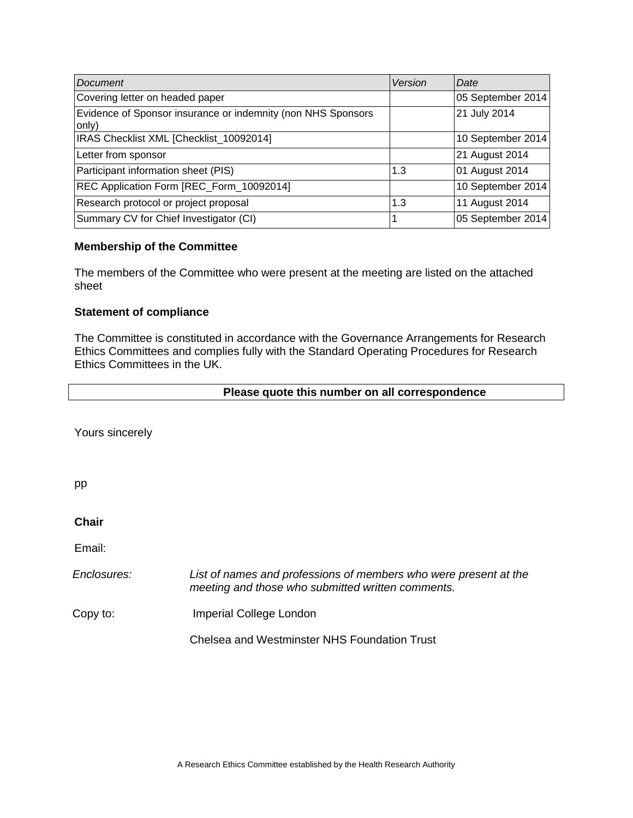| Document                                                              | Version | Date              |
|-----------------------------------------------------------------------|---------|-------------------|
| Covering letter on headed paper                                       |         | 05 September 2014 |
| Evidence of Sponsor insurance or indemnity (non NHS Sponsors<br>only) |         | 21 July 2014      |
| IRAS Checklist XML [Checklist_10092014]                               |         | 10 September 2014 |
| Letter from sponsor                                                   |         | 21 August 2014    |
| Participant information sheet (PIS)                                   | 1.3     | 01 August 2014    |
| REC Application Form [REC_Form_10092014]                              |         | 10 September 2014 |
| Research protocol or project proposal                                 | 1.3     | 11 August 2014    |
| Summary CV for Chief Investigator (CI)                                |         | 05 September 2014 |

### **Membership of the Committee**

The members of the Committee who were present at the meeting are listed on the attached sheet

### **Statement of compliance**

The Committee is constituted in accordance with the Governance Arrangements for Research Ethics Committees and complies fully with the Standard Operating Procedures for Research Ethics Committees in the UK.

### **Please quote this number on all correspondence**

Yours sincerely

pp

**Chair** 

Email:

*Enclosures: List of names and professions of members who were present at the meeting and those who submitted written comments.*

Copy to: Imperial College London

Chelsea and Westminster NHS Foundation Trust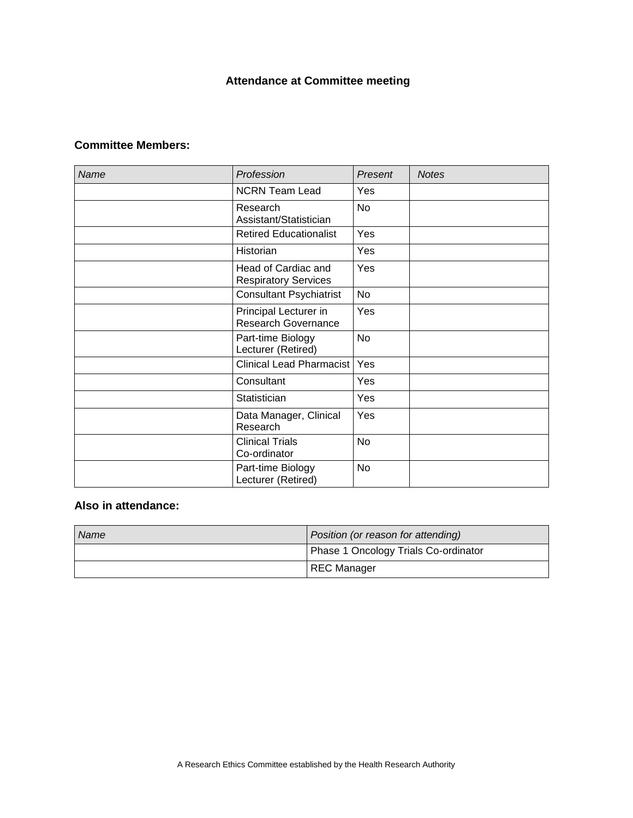### **Attendance at Committee meeting**

### **Committee Members:**

| Name | Profession                                         | Present   | <b>Notes</b> |
|------|----------------------------------------------------|-----------|--------------|
|      | <b>NCRN Team Lead</b>                              | Yes       |              |
|      | Research<br>Assistant/Statistician                 | <b>No</b> |              |
|      | <b>Retired Educationalist</b>                      | Yes       |              |
|      | Historian                                          | Yes       |              |
|      | Head of Cardiac and<br><b>Respiratory Services</b> | Yes       |              |
|      | <b>Consultant Psychiatrist</b>                     | No        |              |
|      | Principal Lecturer in<br>Research Governance       | Yes       |              |
|      | Part-time Biology<br>Lecturer (Retired)            | <b>No</b> |              |
|      | Clinical Lead Pharmacist                           | Yes       |              |
|      | Consultant                                         | Yes       |              |
|      | Statistician                                       | Yes       |              |
|      | Data Manager, Clinical<br>Research                 | Yes       |              |
|      | <b>Clinical Trials</b><br>Co-ordinator             | No.       |              |
|      | Part-time Biology<br>Lecturer (Retired)            | No        |              |

### **Also in attendance:**

| Name | Position (or reason for attending)   |
|------|--------------------------------------|
|      | Phase 1 Oncology Trials Co-ordinator |
|      | <b>REC Manager</b>                   |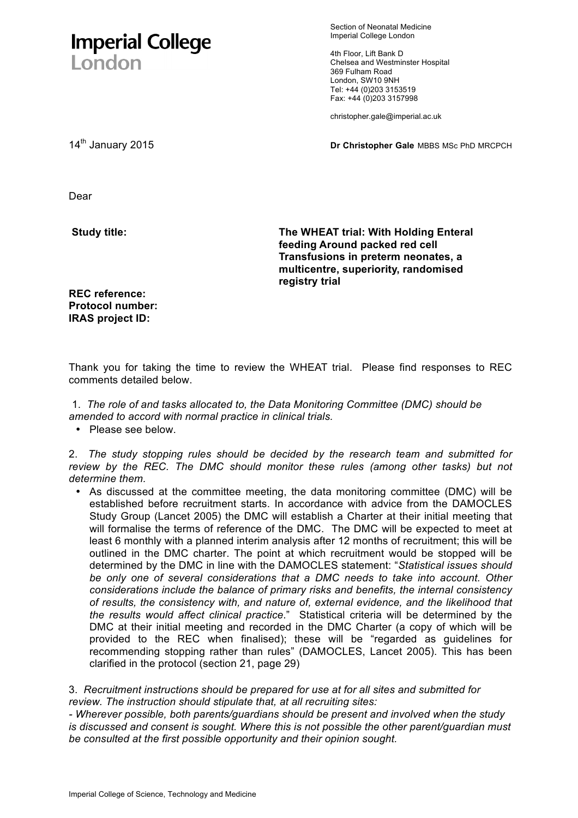## **Imperial College** London

Section of Neonatal Medicine Imperial College London

4th Floor, Lift Bank D Chelsea and Westminster Hospital 369 Fulham Road London, SW10 9NH Tel: +44 (0)203 3153519 Fax: +44 (0)203 3157998

christopher.gale@imperial.ac.uk

14th January 2015 **Dr Christopher Gale** MBBS MSc PhD MRCPCH

Dear

**Study title:** 

**The WHEAT trial: With Holding Enteral feeding Around packed red cell Transfusions in preterm neonates, a multicentre, superiority, randomised registry trial** 

**REC reference: Protocol number: IRAS project ID:** 

Thank you for taking the time to review the WHEAT trial. Please find responses to REC comments detailed below.

1. *The role of and tasks allocated to, the Data Monitoring Committee (DMC) should be amended to accord with normal practice in clinical trials.*

• Please see below.

2. *The study stopping rules should be decided by the research team and submitted for review by the REC. The DMC should monitor these rules (among other tasks) but not determine them.*

• As discussed at the committee meeting, the data monitoring committee (DMC) will be established before recruitment starts. In accordance with advice from the DAMOCLES Study Group (Lancet 2005) the DMC will establish a Charter at their initial meeting that will formalise the terms of reference of the DMC. The DMC will be expected to meet at least 6 monthly with a planned interim analysis after 12 months of recruitment; this will be outlined in the DMC charter. The point at which recruitment would be stopped will be determined by the DMC in line with the DAMOCLES statement: "*Statistical issues should be only one of several considerations that a DMC needs to take into account. Other considerations include the balance of primary risks and benefits, the internal consistency of results, the consistency with, and nature of, external evidence, and the likelihood that the results would affect clinical practice*." Statistical criteria will be determined by the DMC at their initial meeting and recorded in the DMC Charter (a copy of which will be provided to the REC when finalised); these will be "regarded as guidelines for recommending stopping rather than rules" (DAMOCLES, Lancet 2005). This has been clarified in the protocol (section 21, page 29)

3. *Recruitment instructions should be prepared for use at for all sites and submitted for review. The instruction should stipulate that, at all recruiting sites:*

*- Wherever possible, both parents/guardians should be present and involved when the study is discussed and consent is sought. Where this is not possible the other parent/guardian must be consulted at the first possible opportunity and their opinion sought.*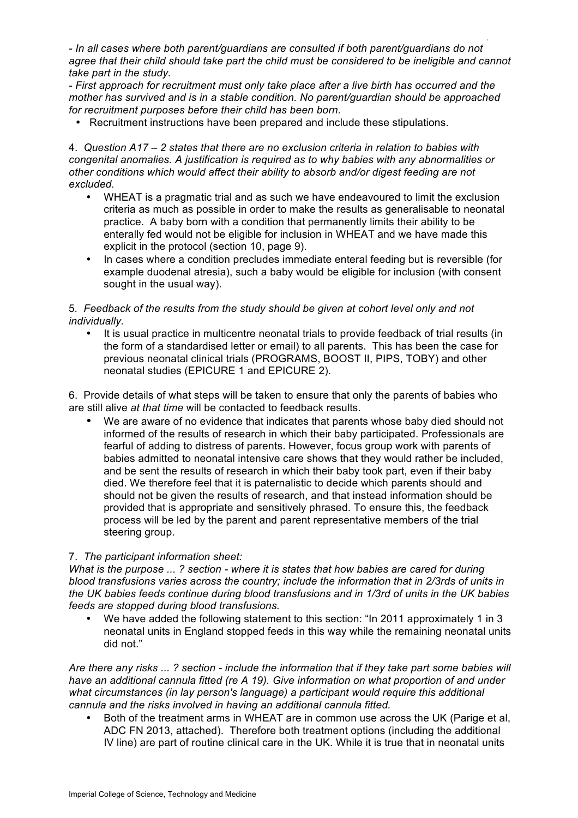. *- In all cases where both parent/guardians are consulted if both parent/guardians do not agree that their child should take part the child must be considered to be ineligible and cannot take part in the study.*

*- First approach for recruitment must only take place after a live birth has occurred and the mother has survived and is in a stable condition. No parent/guardian should be approached for recruitment purposes before their child has been born.*

• Recruitment instructions have been prepared and include these stipulations.

4. *Question A17 – 2 states that there are no exclusion criteria in relation to babies with congenital anomalies. A justification is required as to why babies with any abnormalities or other conditions which would affect their ability to absorb and/or digest feeding are not excluded.*

- WHEAT is a pragmatic trial and as such we have endeavoured to limit the exclusion criteria as much as possible in order to make the results as generalisable to neonatal practice. A baby born with a condition that permanently limits their ability to be enterally fed would not be eligible for inclusion in WHEAT and we have made this explicit in the protocol (section 10, page 9).
- In cases where a condition precludes immediate enteral feeding but is reversible (for example duodenal atresia), such a baby would be eligible for inclusion (with consent sought in the usual way).

### 5*. Feedback of the results from the study should be given at cohort level only and not individually.*

• It is usual practice in multicentre neonatal trials to provide feedback of trial results (in the form of a standardised letter or email) to all parents. This has been the case for previous neonatal clinical trials (PROGRAMS, BOOST II, PIPS, TOBY) and other neonatal studies (EPICURE 1 and EPICURE 2).

6. Provide details of what steps will be taken to ensure that only the parents of babies who are still alive *at that time* will be contacted to feedback results.

• We are aware of no evidence that indicates that parents whose baby died should not informed of the results of research in which their baby participated. Professionals are fearful of adding to distress of parents. However, focus group work with parents of babies admitted to neonatal intensive care shows that they would rather be included, and be sent the results of research in which their baby took part, even if their baby died. We therefore feel that it is paternalistic to decide which parents should and should not be given the results of research, and that instead information should be provided that is appropriate and sensitively phrased. To ensure this, the feedback process will be led by the parent and parent representative members of the trial steering group.

### 7. *The participant information sheet:*

*What is the purpose ... ? section - where it is states that how babies are cared for during blood transfusions varies across the country; include the information that in 2/3rds of units in the UK babies feeds continue during blood transfusions and in 1/3rd of units in the UK babies feeds are stopped during blood transfusions.*

• We have added the following statement to this section: "In 2011 approximately 1 in 3 neonatal units in England stopped feeds in this way while the remaining neonatal units did not."

*Are there any risks ... ? section - include the information that if they take part some babies will have an additional cannula fitted (re A 19). Give information on what proportion of and under what circumstances (in lay person's language) a participant would require this additional cannula and the risks involved in having an additional cannula fitted.* 

• Both of the treatment arms in WHEAT are in common use across the UK (Parige et al, ADC FN 2013, attached). Therefore both treatment options (including the additional IV line) are part of routine clinical care in the UK. While it is true that in neonatal units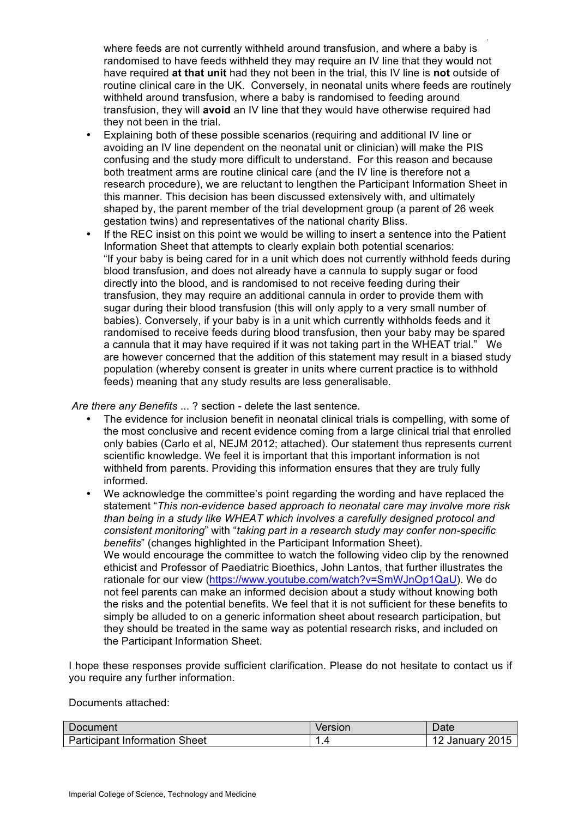. where feeds are not currently withheld around transfusion, and where a baby is randomised to have feeds withheld they may require an IV line that they would not have required **at that unit** had they not been in the trial, this IV line is **not** outside of routine clinical care in the UK. Conversely, in neonatal units where feeds are routinely withheld around transfusion, where a baby is randomised to feeding around transfusion, they will **avoid** an IV line that they would have otherwise required had they not been in the trial.

- Explaining both of these possible scenarios (requiring and additional IV line or avoiding an IV line dependent on the neonatal unit or clinician) will make the PIS confusing and the study more difficult to understand. For this reason and because both treatment arms are routine clinical care (and the IV line is therefore not a research procedure), we are reluctant to lengthen the Participant Information Sheet in this manner. This decision has been discussed extensively with, and ultimately shaped by, the parent member of the trial development group (a parent of 26 week gestation twins) and representatives of the national charity Bliss.
- If the REC insist on this point we would be willing to insert a sentence into the Patient Information Sheet that attempts to clearly explain both potential scenarios: "If your baby is being cared for in a unit which does not currently withhold feeds during blood transfusion, and does not already have a cannula to supply sugar or food directly into the blood, and is randomised to not receive feeding during their transfusion, they may require an additional cannula in order to provide them with sugar during their blood transfusion (this will only apply to a very small number of babies). Conversely, if your baby is in a unit which currently withholds feeds and it randomised to receive feeds during blood transfusion, then your baby may be spared a cannula that it may have required if it was not taking part in the WHEAT trial." We are however concerned that the addition of this statement may result in a biased study population (whereby consent is greater in units where current practice is to withhold feeds) meaning that any study results are less generalisable.

*Are there any Benefits* ... ? section - delete the last sentence.

- The evidence for inclusion benefit in neonatal clinical trials is compelling, with some of the most conclusive and recent evidence coming from a large clinical trial that enrolled only babies (Carlo et al, NEJM 2012; attached). Our statement thus represents current scientific knowledge. We feel it is important that this important information is not withheld from parents. Providing this information ensures that they are truly fully informed.
- We acknowledge the committee's point regarding the wording and have replaced the statement "*This non-evidence based approach to neonatal care may involve more risk than being in a study like WHEAT which involves a carefully designed protocol and consistent monitoring*" with "*taking part in a research study may confer non-specific benefits*" (changes highlighted in the Participant Information Sheet). We would encourage the committee to watch the following video clip by the renowned ethicist and Professor of Paediatric Bioethics, John Lantos, that further illustrates the rationale for our view (https://www.youtube.com/watch?v=SmWJnOp1QaU). We do not feel parents can make an informed decision about a study without knowing both the risks and the potential benefits. We feel that it is not sufficient for these benefits to simply be alluded to on a generic information sheet about research participation, but they should be treated in the same way as potential research risks, and included on the Participant Information Sheet.

I hope these responses provide sufficient clarification. Please do not hesitate to contact us if you require any further information.

Documents attached:

| Document                             | Version | Date               |
|--------------------------------------|---------|--------------------|
| <b>Participant Information Sheet</b> |         | 2015<br>∴Januarv ′ |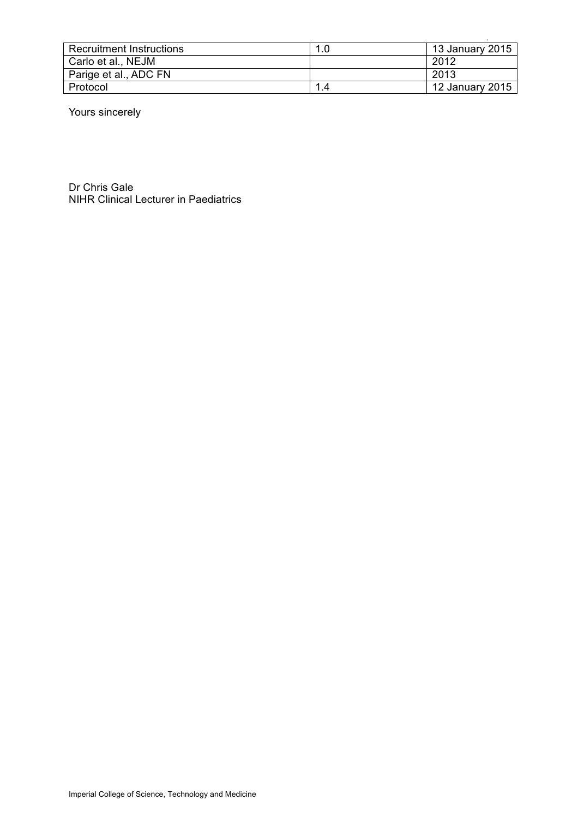| <b>Recruitment Instructions</b> | 1.0 | 13 January 2015 |
|---------------------------------|-----|-----------------|
| Carlo et al., NEJM              |     | 2012            |
| Parige et al., ADC FN           |     | 2013            |
| Protocol                        | 1.4 | 12 January 2015 |

Yours sincerely

Dr Chris Gale NIHR Clinical Lecturer in Paediatrics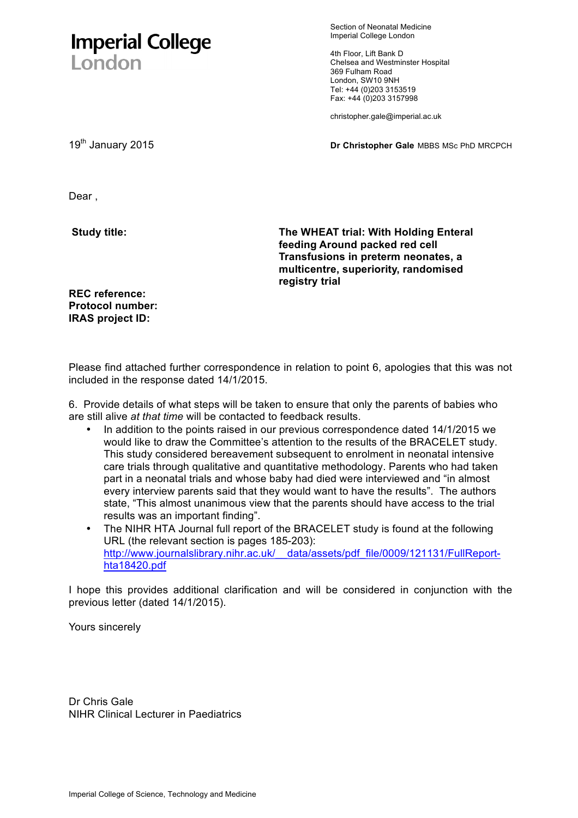# **Imperial College** London

Section of Neonatal Medicine Imperial College London

4th Floor, Lift Bank D Chelsea and Westminster Hospital 369 Fulham Road London, SW10 9NH Tel: +44 (0)203 3153519 Fax: +44 (0)203 3157998

christopher.gale@imperial.ac.uk

19th January 2015 **Dr Christopher Gale** MBBS MSc PhD MRCPCH

Dear ,

**Study title:** 

**The WHEAT trial: With Holding Enteral feeding Around packed red cell Transfusions in preterm neonates, a multicentre, superiority, randomised registry trial** 

**REC reference: Protocol number: IRAS project ID:** 

Please find attached further correspondence in relation to point 6, apologies that this was not included in the response dated 14/1/2015.

6. Provide details of what steps will be taken to ensure that only the parents of babies who are still alive *at that time* will be contacted to feedback results.

- In addition to the points raised in our previous correspondence dated 14/1/2015 we would like to draw the Committee's attention to the results of the BRACELET study. This study considered bereavement subsequent to enrolment in neonatal intensive care trials through qualitative and quantitative methodology. Parents who had taken part in a neonatal trials and whose baby had died were interviewed and "in almost every interview parents said that they would want to have the results". The authors state, "This almost unanimous view that the parents should have access to the trial results was an important finding".
- The NIHR HTA Journal full report of the BRACELET study is found at the following URL (the relevant section is pages 185-203): http://www.journalslibrary.nihr.ac.uk/ data/assets/pdf file/0009/121131/FullReporthta18420.pdf

I hope this provides additional clarification and will be considered in conjunction with the previous letter (dated 14/1/2015).

Yours sincerely

Dr Chris Gale NIHR Clinical Lecturer in Paediatrics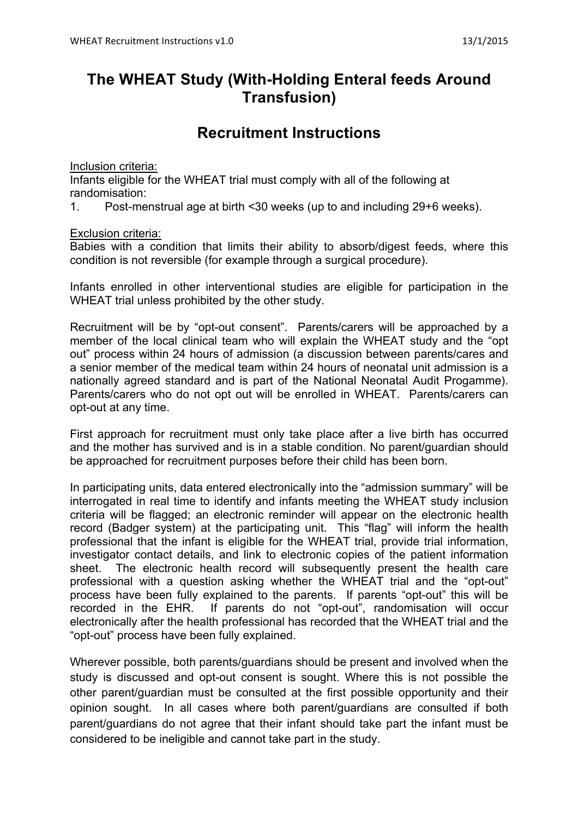## **The WHEAT Study (With-Holding Enteral feeds Around Transfusion)**

## **Recruitment Instructions**

Inclusion criteria:

Infants eligible for the WHEAT trial must comply with all of the following at randomisation:

1. Post-menstrual age at birth <30 weeks (up to and including 29+6 weeks).

Exclusion criteria:

Babies with a condition that limits their ability to absorb/digest feeds, where this condition is not reversible (for example through a surgical procedure).

Infants enrolled in other interventional studies are eligible for participation in the WHEAT trial unless prohibited by the other study.

Recruitment will be by "opt-out consent". Parents/carers will be approached by a member of the local clinical team who will explain the WHEAT study and the "opt out" process within 24 hours of admission (a discussion between parents/cares and a senior member of the medical team within 24 hours of neonatal unit admission is a nationally agreed standard and is part of the National Neonatal Audit Progamme). Parents/carers who do not opt out will be enrolled in WHEAT. Parents/carers can opt-out at any time.

First approach for recruitment must only take place after a live birth has occurred and the mother has survived and is in a stable condition. No parent/guardian should be approached for recruitment purposes before their child has been born.

In participating units, data entered electronically into the "admission summary" will be interrogated in real time to identify and infants meeting the WHEAT study inclusion criteria will be flagged; an electronic reminder will appear on the electronic health record (Badger system) at the participating unit. This "flag" will inform the health professional that the infant is eligible for the WHEAT trial, provide trial information, investigator contact details, and link to electronic copies of the patient information sheet. The electronic health record will subsequently present the health care professional with a question asking whether the WHEAT trial and the "opt-out" process have been fully explained to the parents. If parents "opt-out" this will be recorded in the EHR. If parents do not "opt-out", randomisation will occur electronically after the health professional has recorded that the WHEAT trial and the "opt-out" process have been fully explained.

Wherever possible, both parents/guardians should be present and involved when the study is discussed and opt-out consent is sought. Where this is not possible the other parent/guardian must be consulted at the first possible opportunity and their opinion sought. In all cases where both parent/guardians are consulted if both parent/guardians do not agree that their infant should take part the infant must be considered to be ineligible and cannot take part in the study.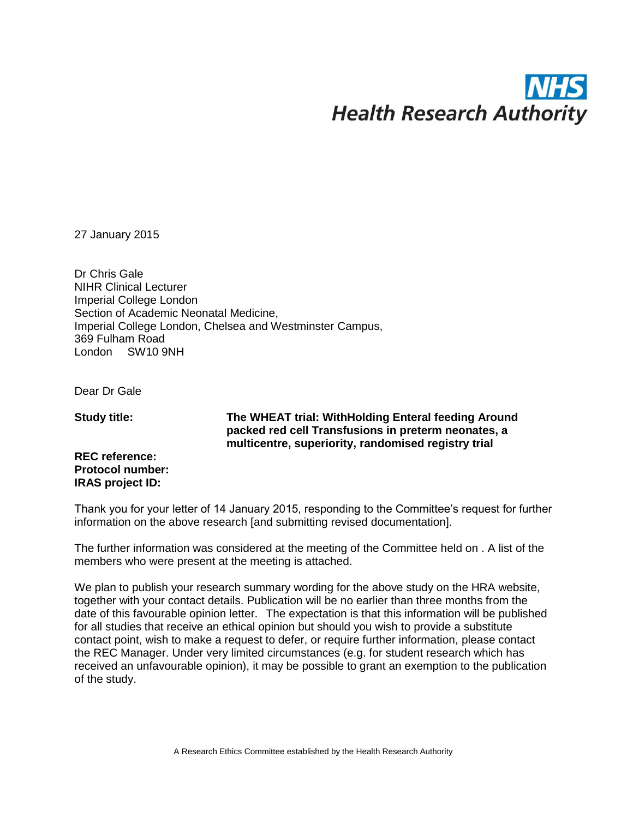# **Health Research Authority**

27 January 2015

Dr Chris Gale NIHR Clinical Lecturer Imperial College London Section of Academic Neonatal Medicine, Imperial College London, Chelsea and Westminster Campus, 369 Fulham Road London SW10 9NH

Dear Dr Gale

**Study title:**

**The WHEAT trial: WithHolding Enteral feeding Around packed red cell Transfusions in preterm neonates, a multicentre, superiority, randomised registry trial** 

**REC reference: Protocol number: IRAS project ID:**

Thank you for your letter of 14 January 2015, responding to the Committee's request for further information on the above research [and submitting revised documentation].

The further information was considered at the meeting of the Committee held on . A list of the members who were present at the meeting is attached.

We plan to publish your research summary wording for the above study on the HRA website, together with your contact details. Publication will be no earlier than three months from the date of this favourable opinion letter. The expectation is that this information will be published for all studies that receive an ethical opinion but should you wish to provide a substitute contact point, wish to make a request to defer, or require further information, please contact the REC Manager. Under very limited circumstances (e.g. for student research which has [received an unfavourable opinion\), it may be possible to grant an](mailto:nrescommittee.northeast-newcastleandnorthtyneside2@nhs.net) exemption to the publication of the study.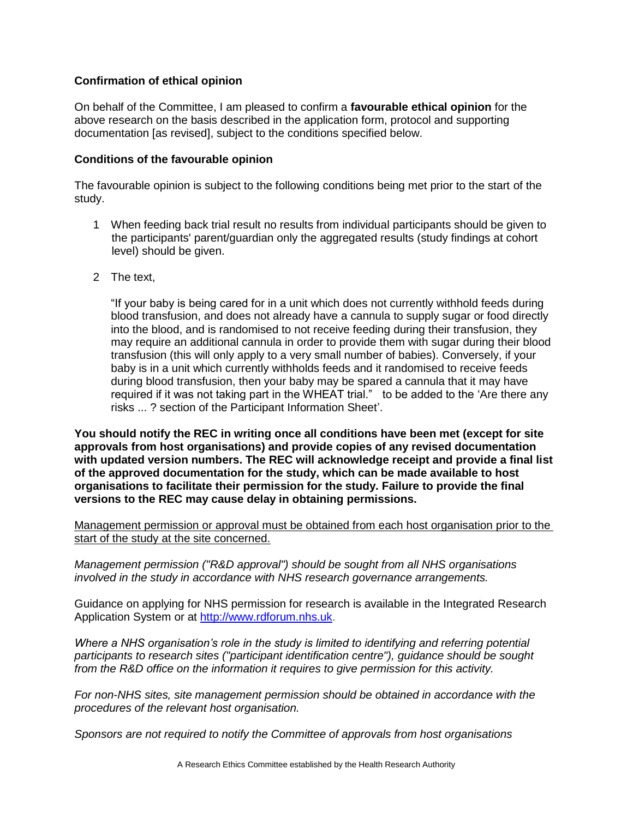### **Confirmation of ethical opinion**

On behalf of the Committee, I am pleased to confirm a **favourable ethical opinion** for the above research on the basis described in the application form, protocol and supporting documentation [as revised], subject to the conditions specified below.

### **Conditions of the favourable opinion**

The favourable opinion is subject to the following conditions being met prior to the start of the study.

- 1 When feeding back trial result no results from individual participants should be given to the participants' parent/guardian only the aggregated results (study findings at cohort level) should be given.
- 2 The text,

"If your baby is being cared for in a unit which does not currently withhold feeds during blood transfusion, and does not already have a cannula to supply sugar or food directly into the blood, and is randomised to not receive feeding during their transfusion, they may require an additional cannula in order to provide them with sugar during their blood transfusion (this will only apply to a very small number of babies). Conversely, if your baby is in a unit which currently withholds feeds and it randomised to receive feeds during blood transfusion, then your baby may be spared a cannula that it may have required if it was not taking part in the WHEAT trial." to be added to the 'Are there any risks ... ? section of the Participant Information Sheet'.

**You should notify the REC in writing once all conditions have been met (except for site approvals from host organisations) and provide copies of any revised documentation with updated version numbers. The REC will acknowledge receipt and provide a final list of the approved documentation for the study, which can be made available to host organisations to facilitate their permission for the study. Failure to provide the final versions to the REC may cause delay in obtaining permissions.**

Management permission or approval must be obtained from each host organisation prior to the start of the study at the site concerned.

*Management permission ("R&D approval") should be sought from all NHS organisations involved in the study in accordance with NHS research governance arrangements.*

Guidance on applying for NHS permission for research is available in the Integrated Research Application System or at [http://www.rdforum.nhs.uk.](http://www.rdforum.nhs.uk/)

*Where a NHS organisation's role in the study is limited to identifying and referring potential participants to research sites ("participant identification centre"), guidance should be sought from the R&D office on the information it requires to give permission for this activity.* 

*For non-NHS sites, site management permission should be obtained in accordance with the procedures of the relevant host organisation.* 

*Sponsors are not required to notify the Committee of approvals from host organisations*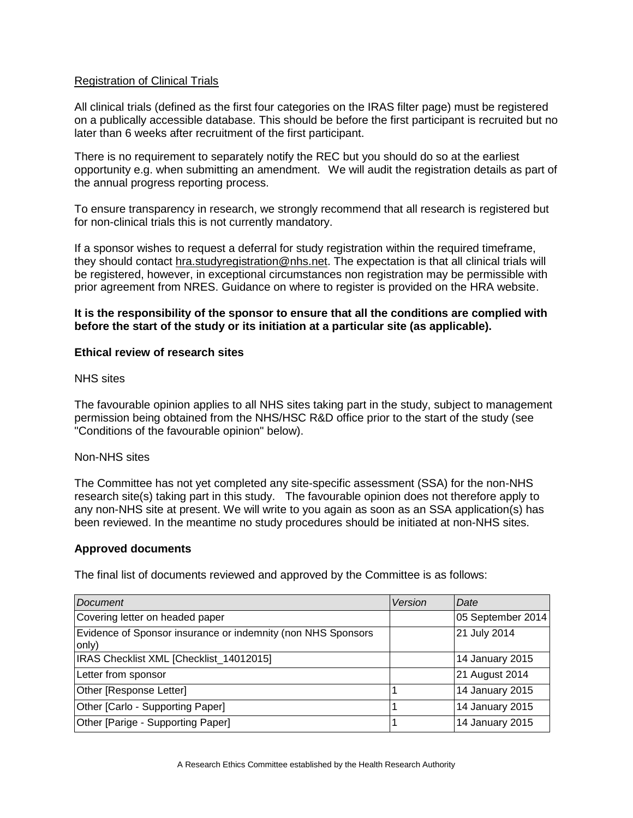### Registration of Clinical Trials

All clinical trials (defined as the first four categories on the IRAS filter page) must be registered on a publically accessible database. This should be before the first participant is recruited but no later than 6 weeks after recruitment of the first participant.

There is no requirement to separately notify the REC but you should do so at the earliest opportunity e.g. when submitting an amendment. We will audit the registration details as part of the annual progress reporting process.

To ensure transparency in research, we strongly recommend that all research is registered but for non-clinical trials this is not currently mandatory.

If a sponsor wishes to request a deferral for study registration within the required timeframe, they should contact [hra.studyregistration@nhs.net.](mailto:hra.studyregistration@nhs.net) The expectation is that all clinical trials will be registered, however, in exceptional circumstances non registration may be permissible with prior agreement from NRES. Guidance on where to register is provided on the HRA website.

### **It is the responsibility of the sponsor to ensure that all the conditions are complied with before the start of the study or its initiation at a particular site (as applicable).**

### **Ethical review of research sites**

### NHS sites

The favourable opinion applies to all NHS sites taking part in the study, subject to management permission being obtained from the NHS/HSC R&D office prior to the start of the study (see "Conditions of the favourable opinion" below).

### Non-NHS sites

The Committee has not yet completed any site-specific assessment (SSA) for the non-NHS research site(s) taking part in this study. The favourable opinion does not therefore apply to any non-NHS site at present. We will write to you again as soon as an SSA application(s) has been reviewed. In the meantime no study procedures should be initiated at non-NHS sites.

### **Approved documents**

The final list of documents reviewed and approved by the Committee is as follows:

| <b>Document</b>                                                       | Version | Date              |
|-----------------------------------------------------------------------|---------|-------------------|
| Covering letter on headed paper                                       |         | 05 September 2014 |
| Evidence of Sponsor insurance or indemnity (non NHS Sponsors<br>only) |         | 21 July 2014      |
| IRAS Checklist XML [Checklist_14012015]                               |         | 14 January 2015   |
| Letter from sponsor                                                   |         | 21 August 2014    |
| Other [Response Letter]                                               |         | 14 January 2015   |
| Other [Carlo - Supporting Paper]                                      |         | 14 January 2015   |
| Other [Parige - Supporting Paper]                                     |         | 14 January 2015   |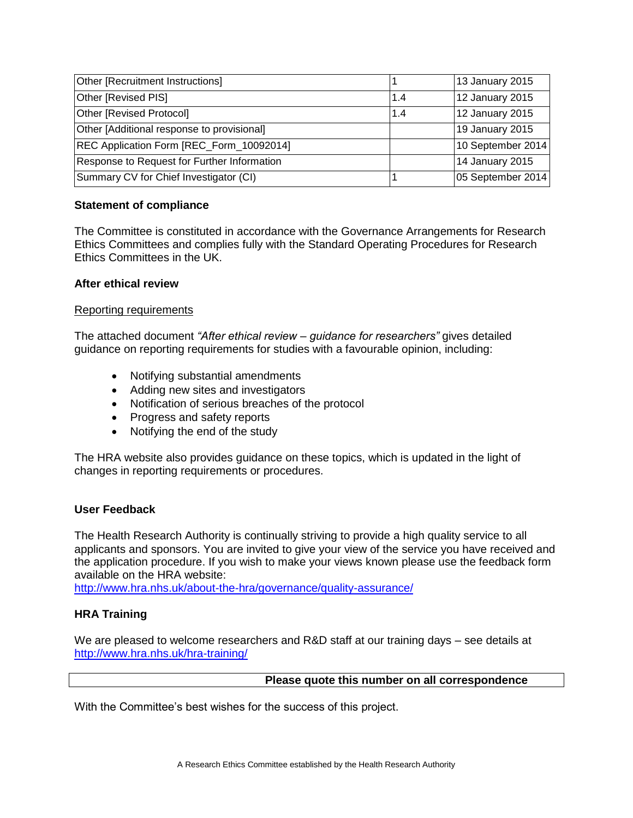| Other [Recruitment Instructions]            |     | 13 January 2015   |
|---------------------------------------------|-----|-------------------|
| Other [Revised PIS]                         | 1.4 | 12 January 2015   |
| <b>Other [Revised Protocol]</b>             | 1.4 | 12 January 2015   |
| Other [Additional response to provisional]  |     | 19 January 2015   |
| REC Application Form [REC_Form_10092014]    |     | 10 September 2014 |
| Response to Request for Further Information |     | 14 January 2015   |
| Summary CV for Chief Investigator (CI)      |     | 05 September 2014 |

### **Statement of compliance**

The Committee is constituted in accordance with the Governance Arrangements for Research Ethics Committees and complies fully with the Standard Operating Procedures for Research Ethics Committees in the UK.

### **After ethical review**

### Reporting requirements

The attached document *"After ethical review – guidance for researchers"* gives detailed guidance on reporting requirements for studies with a favourable opinion, including:

- Notifying substantial amendments
- Adding new sites and investigators
- Notification of serious breaches of the protocol
- Progress and safety reports
- Notifying the end of the study

The HRA website also provides guidance on these topics, which is updated in the light of changes in reporting requirements or procedures.

### **User Feedback**

The Health Research Authority is continually striving to provide a high quality service to all applicants and sponsors. You are invited to give your view of the service you have received and the application procedure. If you wish to make your views known please use the feedback form available on the HRA website:

<http://www.hra.nhs.uk/about-the-hra/governance/quality-assurance/>

### **HRA Training**

We are pleased to welcome researchers and R&D staff at our training days – see details at <http://www.hra.nhs.uk/hra-training/>

### **Please quote this number on all correspondence**

With the Committee's best wishes for the success of this project.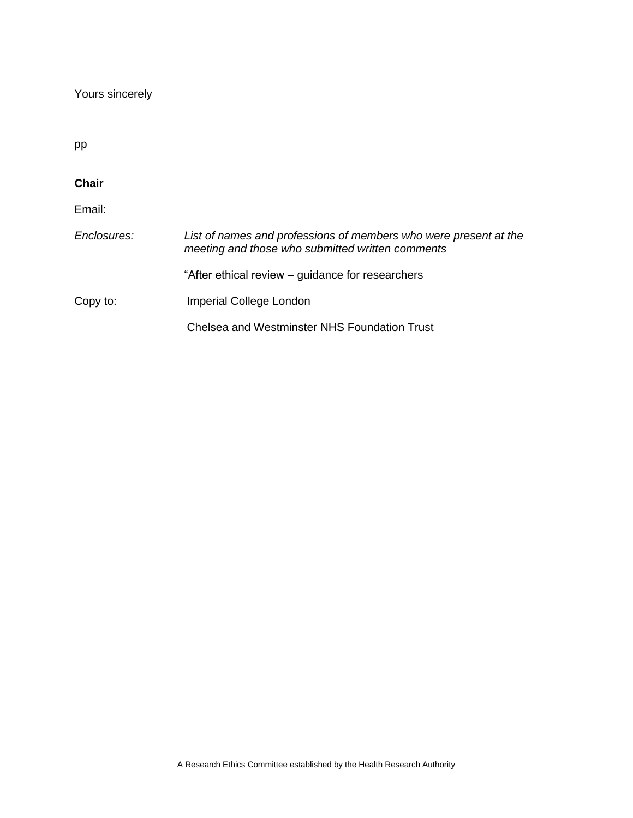Yours sincerely

pp

### **Chair**  Email: *Enclosures:*  Copy to: *List of names and professions of members who were present at the meeting and those who submitted written comments* "After ethical review – guidance for researchers Imperial College London Chelsea and Westminster NHS Foundation Trust